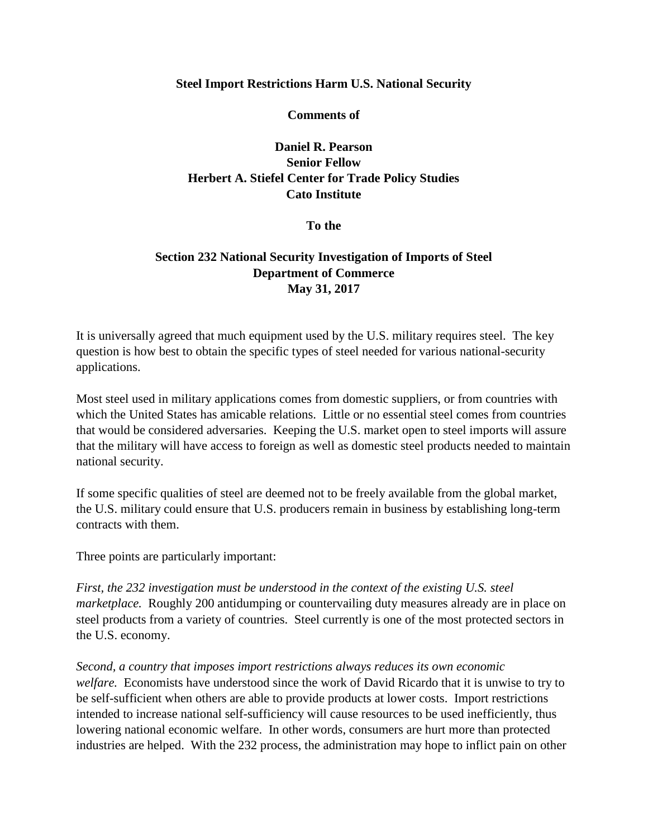## **Steel Import Restrictions Harm U.S. National Security**

**Comments of**

**Daniel R. Pearson Senior Fellow Herbert A. Stiefel Center for Trade Policy Studies Cato Institute**

**To the**

## **Section 232 National Security Investigation of Imports of Steel Department of Commerce May 31, 2017**

It is universally agreed that much equipment used by the U.S. military requires steel. The key question is how best to obtain the specific types of steel needed for various national-security applications.

Most steel used in military applications comes from domestic suppliers, or from countries with which the United States has amicable relations. Little or no essential steel comes from countries that would be considered adversaries. Keeping the U.S. market open to steel imports will assure that the military will have access to foreign as well as domestic steel products needed to maintain national security.

If some specific qualities of steel are deemed not to be freely available from the global market, the U.S. military could ensure that U.S. producers remain in business by establishing long-term contracts with them.

Three points are particularly important:

*First, the 232 investigation must be understood in the context of the existing U.S. steel marketplace.* Roughly 200 antidumping or countervailing duty measures already are in place on steel products from a variety of countries. Steel currently is one of the most protected sectors in the U.S. economy.

*Second, a country that imposes import restrictions always reduces its own economic welfare.* Economists have understood since the work of David Ricardo that it is unwise to try to be self-sufficient when others are able to provide products at lower costs. Import restrictions intended to increase national self-sufficiency will cause resources to be used inefficiently, thus lowering national economic welfare. In other words, consumers are hurt more than protected industries are helped. With the 232 process, the administration may hope to inflict pain on other